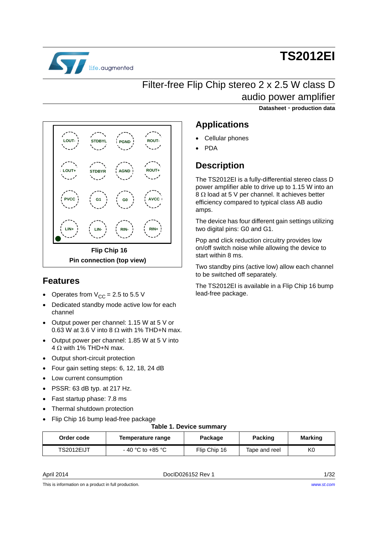

# **TS2012EI**

**Datasheet** - **production data**

# Filter-free Flip Chip stereo 2 x 2.5 W class D audio power amplifier

**G1 INL+ LIN+ LIN- RIN- RIN+** PVCC **PVCC co c G0 c AVCC LOUT+ STDBYR AGND ROUT+ LOUT- STDBYL PGND ROUT-Flip Chip 16 Pin connection (top view)**

### **Features**

- Operates from  $V_{CC} = 2.5$  to 5.5 V
- Dedicated standby mode active low for each channel
- Output power per channel: 1.15 W at 5 V or 0.63 W at 3.6 V into 8  $\Omega$  with 1% THD+N max.
- Output power per channel: 1.85 W at 5 V into  $4 \Omega$  with 1% THD+N max.
- Output short-circuit protection
- Four gain setting steps: 6, 12, 18, 24 dB
- Low current consumption
- PSSR: 63 dB typ. at 217 Hz.
- Fast startup phase: 7.8 ms
- Thermal shutdown protection
- Flip Chip 16 bump lead-free package

## **Applications** Cellular phones

PDA

### **Description**

The TS2012EI is a fully-differential stereo class D power amplifier able to drive up to 1.15 W into an  $8 \Omega$  load at 5 V per channel. It achieves better efficiency compared to typical class AB audio amps.

The device has four different gain settings utilizing two digital pins: G0 and G1.

Pop and click reduction circuitry provides low on/off switch noise while allowing the device to start within 8 ms.

Two standby pins (active low) allow each channel to be switched off separately.

The TS2012EI is available in a Flip Chip 16 bump lead-free package.

#### **Table 1. Device summary**

| Order code | Temperature range   | Package      | <b>Packing</b> | <b>Marking</b> |  |
|------------|---------------------|--------------|----------------|----------------|--|
| TS2012EIJT | $-$ 40 °C to +85 °C | Flip Chip 16 | Tape and reel  | K0             |  |

April 2014 **DociD026152 Rev 1** 2014 **DociD026152 Rev 1** 

This is information on a product in full production.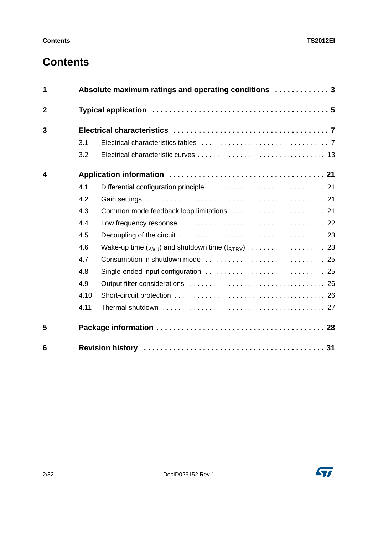# **Contents**

| 1                       |      | Absolute maximum ratings and operating conditions  3 |
|-------------------------|------|------------------------------------------------------|
| $\overline{2}$          |      |                                                      |
| 3                       |      |                                                      |
|                         | 3.1  |                                                      |
|                         | 3.2  |                                                      |
| $\overline{\mathbf{4}}$ |      |                                                      |
|                         | 4.1  |                                                      |
|                         | 4.2  |                                                      |
|                         | 4.3  |                                                      |
|                         | 4.4  |                                                      |
|                         | 4.5  |                                                      |
|                         | 4.6  |                                                      |
|                         | 4.7  |                                                      |
|                         | 4.8  |                                                      |
|                         | 4.9  |                                                      |
|                         | 4.10 |                                                      |
|                         | 4.11 |                                                      |
| 5                       |      |                                                      |
| 6                       |      |                                                      |

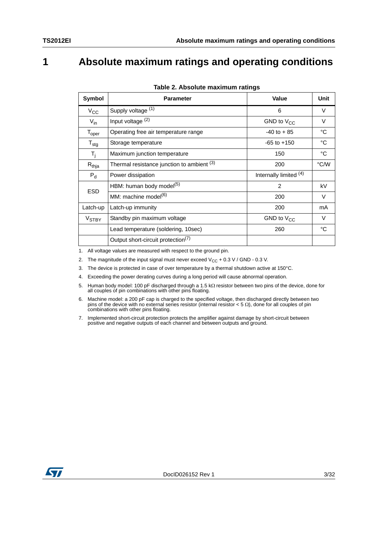## <span id="page-2-0"></span>**1 Absolute maximum ratings and operating conditions**

| Symbol                  | <b>Parameter</b>                               | Value                  | Unit   |
|-------------------------|------------------------------------------------|------------------------|--------|
| $V_{\rm CC}$            | Supply voltage (1)                             | 6                      | V      |
| $V_{in}$                | Input voltage <sup>(2)</sup>                   | GND to $V_{CC}$        | V      |
| $T_{\rm oper}$          | Operating free air temperature range           | $-40$ to $+85$         | °C     |
| $T_{\text{stg}}$        | Storage temperature                            | $-65$ to $+150$        | °C     |
| $T_j$                   | Maximum junction temperature                   | 150                    | °C     |
| $R_{thja}$              | Thermal resistance junction to ambient (3)     | 200                    | °C/W   |
| $P_{d}$                 | Power dissipation                              | Internally limited (4) |        |
| <b>ESD</b>              | HBM: human body model <sup>(5)</sup>           | $\overline{2}$         | kV     |
|                         | MM: machine model <sup>(6)</sup>               | 200                    | $\vee$ |
| Latch-up                | Latch-up immunity                              | 200                    | mA     |
| <b>V<sub>STBY</sub></b> | Standby pin maximum voltage                    | GND to $V_{CC}$        | V      |
|                         | Lead temperature (soldering, 10sec)            | 260                    | °C     |
|                         | Output short-circuit protection <sup>(7)</sup> |                        |        |

|  | Table 2. Absolute maximum ratings |  |
|--|-----------------------------------|--|
|  |                                   |  |

1. All voltage values are measured with respect to the ground pin.

2. The magnitude of the input signal must never exceed  $V_{CC}$  + 0.3 V / GND - 0.3 V.

- 3. The device is protected in case of over temperature by a thermal shutdown active at 150°C.
- 4. Exceeding the power derating curves during a long period will cause abnormal operation.
- 5. Human body model: 100 pF discharged through a 1.5 k $\Omega$  resistor between two pins of the device, done for all couples of pin combinations with other pins floating.
- 6. Machine model: a 200 pF cap is charged to the specified voltage, then discharged directly between two pins of the device with no external series resistor (internal resistor < 5  $\Omega$ ), done for all couples of pin combinations with other pins floating.
- 7. Implemented short-circuit protection protects the amplifier against damage by short-circuit between positive and negative outputs of each channel and between outputs and ground.

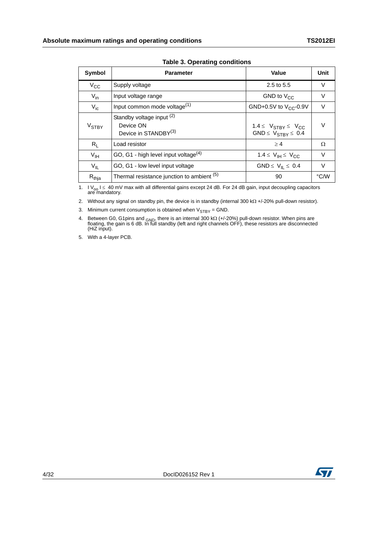<span id="page-3-0"></span>

| Symbol                  | <b>Parameter</b>                                                           | Value                                                                      | Unit   |
|-------------------------|----------------------------------------------------------------------------|----------------------------------------------------------------------------|--------|
| $V_{\rm CC}$            | Supply voltage                                                             | 2.5 to $5.5$                                                               | V      |
| $V_{in}$                | Input voltage range                                                        | GND to $V_{CC}$                                                            | $\vee$ |
| $V_{ic}$                | Input common mode voltage <sup>(1)</sup>                                   | GND+0.5V to $V_{CC}$ -0.9V                                                 | V      |
| <b>V<sub>STBY</sub></b> | Standby voltage input (2)<br>Device ON<br>Device in STANDBY <sup>(3)</sup> | $1.4 \leq V_{STBY} \leq V_{CC}$<br>GND $\leq$ V <sub>STBY</sub> $\leq$ 0.4 | $\vee$ |
| $R_L$                   | Load resistor                                                              | >4                                                                         | Ω      |
| $V_{\text{IH}}$         | GO, G1 - high level input voltage <sup>(4)</sup>                           | 1.4 $\leq$ $V_{\text{IH}} \leq$ $V_{\text{CC}}$                            | V      |
| $V_{IL}$                | GO, G1 - low level input voltage                                           | GND $\leq$ V <sub>II</sub> $\leq$ 0.4                                      | $\vee$ |
| $R_{thja}$              | Thermal resistance junction to ambient (5)                                 | 90                                                                         | °C/W   |

**Table 3. Operating conditions**

1. I V<sub>oo</sub> I  $\leq 40$  mV max with all differential gains except 24 dB. For 24 dB gain, input decoupling capacitors are mandatory.

2. Without any signal on standby pin, the device is in standby (internal 300 k $\Omega$  +/-20% pull-down resistor).

3. Minimum current consumption is obtained when  $V_{STBY} = GND$ .

4. Between G0, G1pins and <sub>GND</sub>, there is an internal 300 k $\Omega$  (+/-20%) pull-down resistor. When pins are floating, the gain is 6 dB. In full standby (left and right channels OFF), these resistors are disconnected (HiZ input).

5. With a 4-layer PCB.

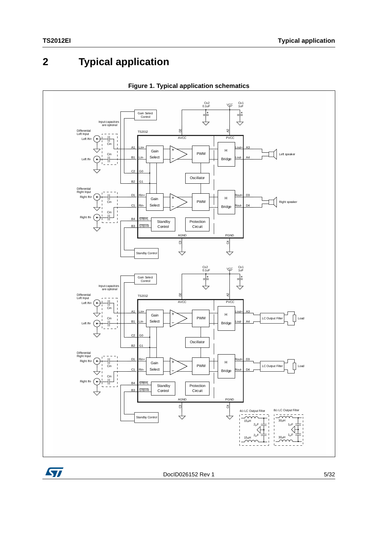# <span id="page-4-0"></span>**2 Typical application**

<span id="page-4-1"></span>



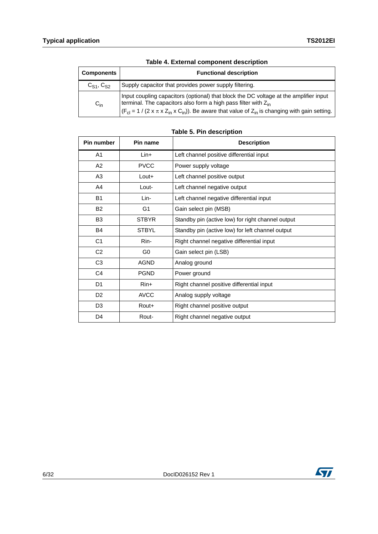| <b>Components</b>   | <b>Functional description</b>                                                                                                                                                                                                                                                                        |
|---------------------|------------------------------------------------------------------------------------------------------------------------------------------------------------------------------------------------------------------------------------------------------------------------------------------------------|
| $C_{S1}$ , $C_{S2}$ | Supply capacitor that provides power supply filtering.                                                                                                                                                                                                                                               |
| $C_{in}$            | Input coupling capacitors (optional) that block the DC voltage at the amplifier input<br>terminal. The capacitors also form a high pass filter with $Z_{\text{in}}$<br>$  (F_{cl} = 1 / (2 \times \pi \times Z_{in} \times C_{in})).$ Be aware that value of $Z_{in}$ is changing with gain setting. |

**Table 5. Pin description**

| Pin number     | Pin name       | <b>Description</b>                                |
|----------------|----------------|---------------------------------------------------|
| A1             | $Lin+$         | Left channel positive differential input          |
| A2             | <b>PVCC</b>    | Power supply voltage                              |
| A3             | $L$ out $+$    | Left channel positive output                      |
| A4             | Lout-          | Left channel negative output                      |
| <b>B1</b>      | Lin-           | Left channel negative differential input          |
| <b>B2</b>      | G <sub>1</sub> | Gain select pin (MSB)                             |
| B <sub>3</sub> | <b>STBYR</b>   | Standby pin (active low) for right channel output |
| B <sub>4</sub> | <b>STBYL</b>   | Standby pin (active low) for left channel output  |
| C <sub>1</sub> | Rin-           | Right channel negative differential input         |
| C <sub>2</sub> | G <sub>0</sub> | Gain select pin (LSB)                             |
| C <sub>3</sub> | <b>AGND</b>    | Analog ground                                     |
| C <sub>4</sub> | <b>PGND</b>    | Power ground                                      |
| D1             | $R$ in+        | Right channel positive differential input         |
| D <sub>2</sub> | <b>AVCC</b>    | Analog supply voltage                             |
| D <sub>3</sub> | Rout+          | Right channel positive output                     |
| D4             | Rout-          | Right channel negative output                     |

### **Table 4. External component description**

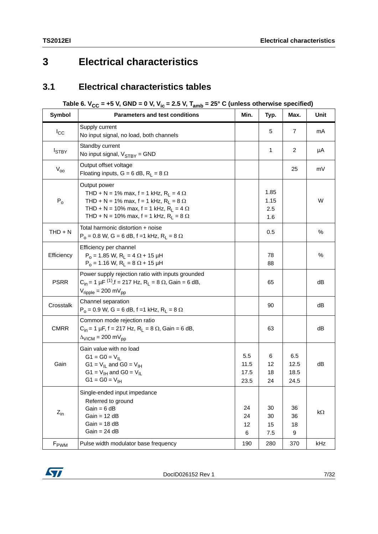## <span id="page-6-0"></span>**3 Electrical characteristics**

### <span id="page-6-1"></span>**3.1 Electrical characteristics tables**

### Table 6. V<sub>CC</sub> = +5 V, GND = 0 V, V<sub>ic</sub> = 2.5 V, T<sub>amb</sub> = 25° C (unless otherwise specified)

<span id="page-6-2"></span>

| <b>Symbol</b>    | <b>Parameters and test conditions</b>                                                                                                                                                                                               | Min.                        | Typ.                       | Max.                        | Unit |
|------------------|-------------------------------------------------------------------------------------------------------------------------------------------------------------------------------------------------------------------------------------|-----------------------------|----------------------------|-----------------------------|------|
| $I_{\rm CC}$     | Supply current<br>No input signal, no load, both channels                                                                                                                                                                           |                             | 5                          | 7                           | mA   |
| $I_{STBY}$       | Standby current<br>No input signal, $V_{STBY}$ = GND                                                                                                                                                                                |                             | 1                          | 2                           | μA   |
| $V_{00}$         | Output offset voltage<br>Floating inputs, G = 6 dB, R <sub>L</sub> = 8 $\Omega$                                                                                                                                                     |                             |                            | 25                          | mV   |
| $P_0$            | Output power<br>THD + N = 1% max, f = 1 kHz, R <sub>L</sub> = 4 $\Omega$<br>THD + N = 1% max, f = 1 kHz, $R_L$ = 8 $\Omega$<br>THD + N = 10% max, f = 1 kHz, $R_L$ = 4 $\Omega$<br>THD + N = 10% max, f = 1 kHz, $R_L$ = 8 $\Omega$ |                             | 1.85<br>1.15<br>2.5<br>1.6 |                             | W    |
| $THD + N$        | Total harmonic distortion + noise<br>$P_0 = 0.8$ W, G = 6 dB, f = 1 kHz, R <sub>L</sub> = 8 $\Omega$                                                                                                                                |                             | 0.5                        |                             | %    |
| Efficiency       | Efficiency per channel<br>$P_0 = 1.85$ W, R <sub>L</sub> = 4 $\Omega$ + 15 µH<br>$P_0 = 1.16$ W, R <sub>L</sub> = 8 $\Omega$ + 15 µH                                                                                                |                             | 78<br>88                   |                             | %    |
| <b>PSRR</b>      | Power supply rejection ratio with inputs grounded<br>$C_{in}$ = 1 µF <sup>(1)</sup> , f = 217 Hz, R <sub>L</sub> = 8 $\Omega$ , Gain = 6 dB,<br>$V_{\text{ripple}} = 200 \text{ mV}_{\text{pp}}$                                    |                             | 65                         |                             | dB   |
| Crosstalk        | Channel separation<br>$P_0 = 0.9$ W, G = 6 dB, f = 1 kHz, R <sub>L</sub> = 8 $\Omega$                                                                                                                                               |                             | 90                         |                             | dB   |
| <b>CMRR</b>      | Common mode rejection ratio<br>$C_{in}$ = 1 µF, f = 217 Hz, R <sub>L</sub> = 8 $\Omega$ , Gain = 6 dB,<br>$\Delta_{\text{VICM}}$ = 200 mV <sub>pp</sub>                                                                             |                             | 63                         |                             | dB   |
| Gain             | Gain value with no load<br>$G1 = G0 = V_{  }$<br>G1 = $V_{IL}$ and G0 = $V_{IH}$<br>G1 = $V_{IH}$ and G0 = $V_{IL}$<br>$G1 = G0 = V_{\text{IH}}$                                                                                    | 5.5<br>11.5<br>17.5<br>23.5 | 6<br>12<br>18<br>24        | 6.5<br>12.5<br>18.5<br>24.5 | dB   |
| $Z_{in}$         | Single-ended input impedance<br>Referred to ground<br>$Gain = 6 dB$<br>$Gain = 12 dB$<br>$Gain = 18 dB$<br>$Gain = 24 dB$                                                                                                           | 24<br>24<br>12<br>6         | 30<br>30<br>15<br>7.5      | 36<br>36<br>18<br>9         | kΩ   |
| F <sub>PWM</sub> | Pulse width modulator base frequency                                                                                                                                                                                                | 190                         | 280                        | 370                         | kHz  |

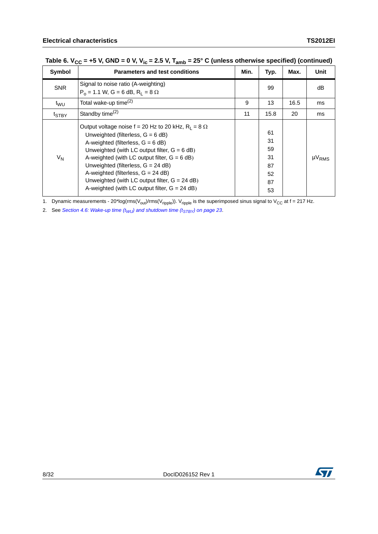| Symbol            | <b>Parameters and test conditions</b>                                                                                                                                                                                                                                                                                                                                                                                                | Min. | Typ.                                         | Max. | <b>Unit</b>   |
|-------------------|--------------------------------------------------------------------------------------------------------------------------------------------------------------------------------------------------------------------------------------------------------------------------------------------------------------------------------------------------------------------------------------------------------------------------------------|------|----------------------------------------------|------|---------------|
| <b>SNR</b>        | Signal to noise ratio (A-weighting)<br>$P_0 = 1.1$ W, G = 6 dB, R <sub>1</sub> = 8 $\Omega$                                                                                                                                                                                                                                                                                                                                          |      | 99                                           |      | dB            |
| t <sub>WU</sub>   | Total wake-up time <sup>(2)</sup>                                                                                                                                                                                                                                                                                                                                                                                                    | 9    | 13                                           | 16.5 | ms            |
| t <sub>STBY</sub> | Standby time <sup>(2)</sup>                                                                                                                                                                                                                                                                                                                                                                                                          | 11   | 15.8                                         | 20   | ms            |
| $V_N$             | Output voltage noise $f = 20$ Hz to 20 kHz, $R_1 = 8 \Omega$<br>Unweighted (filterless, $G = 6$ dB)<br>A-weighted (filterless, $G = 6$ dB)<br>Unweighted (with LC output filter, $G = 6$ dB)<br>A-weighted (with LC output filter, $G = 6$ dB)<br>Unweighted (filterless, $G = 24$ dB)<br>A-weighted (filterless, $G = 24$ dB)<br>Unweighted (with LC output filter, $G = 24$ dB)<br>A-weighted (with LC output filter, $G = 24$ dB) |      | 61<br>31<br>59<br>31<br>87<br>52<br>87<br>53 |      | $\mu V_{RMS}$ |

## Table 6.  $V_{CC}$  = +5 V, GND = 0 V, V<sub>ic</sub> = 2.5 V, T<sub>amb</sub> = 25° C (unless otherwise specified) (continued)

1. Dynamic measurements - 20\*log(rms( $V_{\text{out}}$ )/rms( $V_{\text{right}}$ )).  $V_{\text{right}}$  is the superimposed sinus signal to  $V_{\text{CC}}$  at f = 217 Hz.

2. See *Section 4.6: Wake-up time*  $(t_{WU})$  *and shutdown time*  $(t_{STBY})$  *on page 23.* 

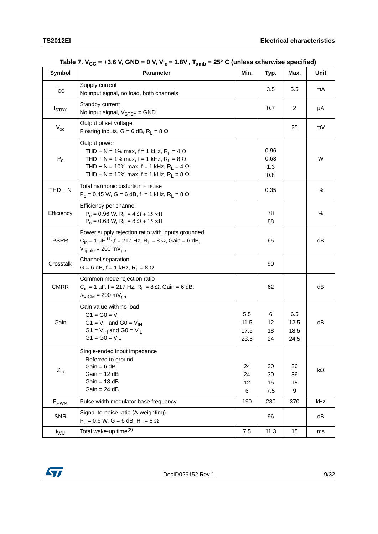| <b>Symbol</b>    | <b>Parameter</b>                                                                                                                                                                                                                             | Min.                        | Typ.                       | Max.                        | Unit      |
|------------------|----------------------------------------------------------------------------------------------------------------------------------------------------------------------------------------------------------------------------------------------|-----------------------------|----------------------------|-----------------------------|-----------|
| $I_{\rm CC}$     | Supply current<br>No input signal, no load, both channels                                                                                                                                                                                    |                             | 3.5                        | 5.5                         | mA        |
| $I_{STBY}$       | Standby current<br>No input signal, $V_{STBY}$ = GND                                                                                                                                                                                         |                             | 0.7                        | 2                           | μA        |
| $V_{00}$         | Output offset voltage<br>Floating inputs, G = 6 dB, R <sub>1</sub> = 8 $\Omega$                                                                                                                                                              |                             |                            | 25                          | mV        |
| $P_0$            | Output power<br>THD + N = 1% max, f = 1 kHz, $R_L$ = 4 $\Omega$<br>THD + N = 1% max, f = 1 kHz, R <sub>1</sub> = 8 $\Omega$<br>THD + N = 10% max, f = 1 kHz, R <sub>L</sub> = 4 $\Omega$<br>THD + N = 10% max, f = 1 kHz, $R_L$ = 8 $\Omega$ |                             | 0.96<br>0.63<br>1.3<br>0.8 |                             | W         |
| $THD + N$        | Total harmonic distortion + noise<br>$P_0 = 0.45$ W, G = 6 dB, f = 1 kHz, R <sub>L</sub> = 8 $\Omega$                                                                                                                                        |                             | 0.35                       |                             | %         |
| Efficiency       | Efficiency per channel<br>$P_0 = 0.96$ W, $R_L = 4 \Omega + 15 \propto H$<br>$P_0 = 0.63$ W, $R_L = 8 \Omega + 15 \propto H$                                                                                                                 |                             | 78<br>88                   |                             | %         |
| <b>PSRR</b>      | Power supply rejection ratio with inputs grounded<br>$C_{in}$ = 1 µF <sup>(1)</sup> , f = 217 Hz, R <sub>1</sub> = 8 $\Omega$ , Gain = 6 dB,<br>$V_{\text{ripple}} = 200 \text{ mV}_{\text{pp}}$                                             |                             | 65                         |                             | dB        |
| Crosstalk        | Channel separation<br>$G = 6$ dB, f = 1 kHz, R <sub>L</sub> = 8 $\Omega$                                                                                                                                                                     |                             | 90                         |                             |           |
| <b>CMRR</b>      | Common mode rejection ratio<br>$C_{in}$ = 1 µF, f = 217 Hz, R <sub>L</sub> = 8 $\Omega$ , Gain = 6 dB,<br>$\Delta_{\text{VICM}}$ = 200 mV <sub>pp</sub>                                                                                      |                             | 62                         |                             | dB        |
| Gain             | Gain value with no load<br>$G1 = G0 = V_{  }$<br>G1 = $V_{IL}$ and G0 = $V_{IH}$<br>G1 = $V_{IH}$ and G0 = $V_{IL}$<br>$G1 = G0 = V_{IH}$                                                                                                    | 5.5<br>11.5<br>17.5<br>23.5 | 6<br>12<br>18<br>24        | 6.5<br>12.5<br>18.5<br>24.5 | dB        |
| $Z_{in}$         | Single-ended input impedance<br>Referred to ground<br>$Gain = 6 dB$<br>$Gain = 12 dB$<br>$Gain = 18 dB$<br>$Gain = 24 dB$                                                                                                                    | 24<br>24<br>12<br>6         | 30<br>30<br>15<br>7.5      | 36<br>36<br>18<br>9         | $k\Omega$ |
| F <sub>PWM</sub> | Pulse width modulator base frequency                                                                                                                                                                                                         | 190                         | 280                        | 370                         | kHz       |
| <b>SNR</b>       | Signal-to-noise ratio (A-weighting)<br>$P_0 = 0.6$ W, G = 6 dB, R <sub>1</sub> = 8 $\Omega$                                                                                                                                                  |                             | 96                         |                             | dB        |
| $t_{\text{WU}}$  | Total wake-up time <sup>(2)</sup>                                                                                                                                                                                                            | 7.5                         | 11.3                       | 15                          | ms        |

|  |  | Table 7. $V_{CC}$ = +3.6 V, GND = 0 V, V <sub>ic</sub> = 1.8V, T <sub>amb</sub> = 25° C (unless otherwise specified) |
|--|--|----------------------------------------------------------------------------------------------------------------------|
|--|--|----------------------------------------------------------------------------------------------------------------------|

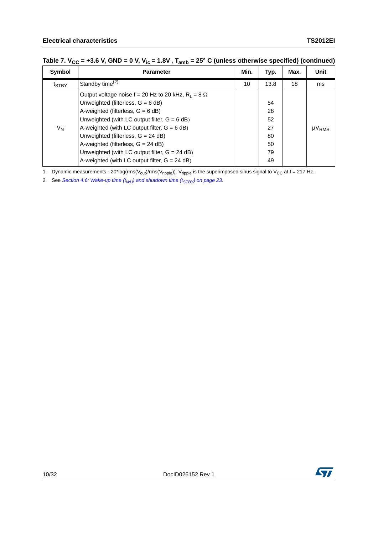| Symbol                    | <b>Parameter</b>                                                                                                                                                                                                                                                                                                                                                                                                                   | Min. | Typ.                                         | Max. | <b>Unit</b>   |
|---------------------------|------------------------------------------------------------------------------------------------------------------------------------------------------------------------------------------------------------------------------------------------------------------------------------------------------------------------------------------------------------------------------------------------------------------------------------|------|----------------------------------------------|------|---------------|
| t <sub>STBY</sub>         | Standby time $(2)$                                                                                                                                                                                                                                                                                                                                                                                                                 | 10   | 13.8                                         | 18   | ms            |
| $\mathsf{V}_{\mathsf{N}}$ | Output voltage noise $f = 20$ Hz to 20 kHz, $R_1 = 8 \Omega$<br>Unweighted (filterless, $G = 6$ dB)<br>A-weighted (filterless, $G = 6$ dB)<br>Unweighted (with LC output filter, $G = 6$ dB)<br>A-weighted (with LC output filter, $G = 6$ dB)<br>Unweighted (filterless, G = 24 dB)<br>A-weighted (filterless, $G = 24$ dB)<br>Unweighted (with LC output filter, $G = 24$ dB)<br>A-weighted (with LC output filter, $G = 24$ dB) |      | 54<br>28<br>52<br>27<br>80<br>50<br>79<br>49 |      | $\mu V_{RMS}$ |

### Table 7.  $V_{CC}$  = +3.6 V, GND = 0 V, V<sub>ic</sub> = 1.8V, T<sub>amb</sub> = 25° C (unless otherwise specified) (continued)

1. Dynamic measurements - 20\*log(rms( $V_{out}$ )/rms( $V_{right}$ )).  $V_{right}$  is the superimposed sinus signal to  $V_{CC}$  at f = 217 Hz.

2. See *Section 4.6: Wake-up time*  $(t_{WU})$  *and shutdown time*  $(t_{STBY})$  *on page 23.* 



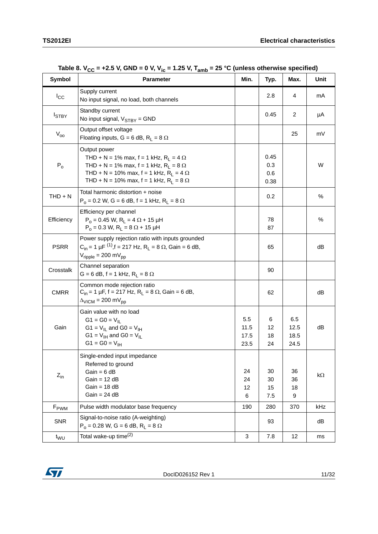<span id="page-10-0"></span>

| <b>Symbol</b>           | <b>Parameter</b>                                                                                                                                                                                                                                      | Min.                        | Typ.                       | Max.                        | Unit      |
|-------------------------|-------------------------------------------------------------------------------------------------------------------------------------------------------------------------------------------------------------------------------------------------------|-----------------------------|----------------------------|-----------------------------|-----------|
| $I_{\rm CC}$            | Supply current<br>No input signal, no load, both channels                                                                                                                                                                                             |                             | 2.8                        | 4                           | mA        |
| $I_{STBY}$              | Standby current<br>No input signal, $V_{STBY}$ = GND                                                                                                                                                                                                  |                             | 0.45                       | 2                           | μA        |
| $V_{00}$                | Output offset voltage<br>Floating inputs, G = 6 dB, R <sub>1</sub> = 8 $\Omega$                                                                                                                                                                       |                             |                            | 25                          | mV        |
| $\mathsf{P}_\mathsf{O}$ | Output power<br>THD + N = 1% max, f = 1 kHz, R <sub>1</sub> = 4 $\Omega$<br>THD + N = 1% max, f = 1 kHz, R <sub>1</sub> = 8 $\Omega$<br>THD + N = 10% max, f = 1 kHz, R <sub>1</sub> = 4 $\Omega$<br>THD + N = 10% max, f = 1 kHz, $R_L$ = 8 $\Omega$ |                             | 0.45<br>0.3<br>0.6<br>0.38 |                             | W         |
| $THD + N$               | Total harmonic distortion + noise<br>$P_0 = 0.2$ W, G = 6 dB, f = 1 kHz, R <sub>L</sub> = 8 $\Omega$                                                                                                                                                  |                             | 0.2                        |                             | $\%$      |
| Efficiency              | Efficiency per channel<br>$P_0 = 0.45$ W, R <sub>1</sub> = 4 $\Omega$ + 15 µH<br>$P_0 = 0.3$ W, $R_L = 8 \Omega + 15$ µH                                                                                                                              |                             | 78<br>87                   |                             | $\%$      |
| <b>PSRR</b>             | Power supply rejection ratio with inputs grounded<br>$C_{in}$ = 1 µF <sup>(1)</sup> , f = 217 Hz, R <sub>L</sub> = 8 $\Omega$ , Gain = 6 dB,<br>$V_{\text{ripole}}$ = 200 m $V_{\text{pp}}$                                                           |                             | 65                         |                             | dB        |
| Crosstalk               | Channel separation<br>$G = 6$ dB, f = 1 kHz, R <sub>L</sub> = 8 $\Omega$                                                                                                                                                                              |                             | 90                         |                             |           |
| <b>CMRR</b>             | Common mode rejection ratio<br>$C_{in}$ = 1 µF, f = 217 Hz, R <sub>L</sub> = 8 $\Omega$ , Gain = 6 dB,<br>$\Delta_{\text{VICM}}$ = 200 mV <sub>pp</sub>                                                                                               |                             | 62                         |                             | dB        |
| Gain                    | Gain value with no load<br>$G1 = G0 = V_{  }$<br>$G1 = V_{II}$ and $G0 = V_{IH}$<br>G1 = $V_{\text{IH}}$ and G0 = $V_{\text{IL}}$<br>$G1 = G0 = V_{IH}$                                                                                               | 5.5<br>11.5<br>17.5<br>23.5 | 6<br>12<br>18<br>24        | 6.5<br>12.5<br>18.5<br>24.5 | dΒ        |
| $Z_{in}$                | Single-ended input impedance<br>Referred to ground<br>$Gain = 6 dB$<br>$Gain = 12 dB$<br>$Gain = 18 dB$<br>$Gain = 24 dB$                                                                                                                             | 24<br>24<br>12<br>6         | 30<br>30<br>15<br>7.5      | 36<br>36<br>18<br>9         | $k\Omega$ |
| F <sub>PWM</sub>        | Pulse width modulator base frequency                                                                                                                                                                                                                  | 190                         | 280                        | 370                         | kHz       |
| <b>SNR</b>              | Signal-to-noise ratio (A-weighting)<br>$P_0 = 0.28$ W, G = 6 dB, R <sub>L</sub> = 8 $\Omega$                                                                                                                                                          |                             | 93                         |                             | dB        |
| t <sub>WU</sub>         | Total wake-up time <sup>(2)</sup>                                                                                                                                                                                                                     | $\mathbf{3}$                | 7.8                        | 12                          | ms        |

Table 8.  $V_{CC}$  = +2.5 V, GND = 0 V, V<sub>ic</sub> = 1.25 V, T<sub>amb</sub> = 25 °C (unless otherwise specified)

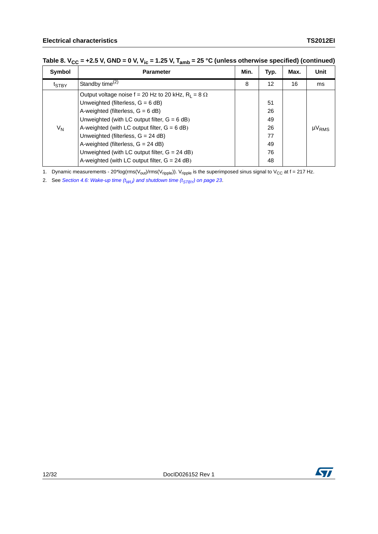| Symbol         | <b>Parameter</b>                                             | Min. | Typ. | Max. | <b>Unit</b>                       |
|----------------|--------------------------------------------------------------|------|------|------|-----------------------------------|
| $t_{STBY}$     | Standby time $(2)$                                           | 8    | 12   | 16   | ms                                |
|                | Output voltage noise $f = 20$ Hz to 20 kHz, $R_1 = 8 \Omega$ |      |      |      |                                   |
| V <sub>N</sub> | Unweighted (filterless, $G = 6$ dB)                          |      | 51   |      |                                   |
|                | A-weighted (filterless, $G = 6$ dB)                          |      | 26   |      |                                   |
|                | Unweighted (with LC output filter, $G = 6$ dB)               |      | 49   |      |                                   |
|                | A-weighted (with LC output filter, $G = 6$ dB)               |      | 26   |      | $\mu$ <sup>V</sup> <sub>RMS</sub> |
|                | Unweighted (filterless, G = 24 dB)                           |      | 77   |      |                                   |
|                | A-weighted (filterless, $G = 24$ dB)                         |      | 49   |      |                                   |
|                | Unweighted (with LC output filter, $G = 24$ dB)              |      | 76   |      |                                   |
|                | A-weighted (with LC output filter, $G = 24$ dB)              |      | 48   |      |                                   |

### Table 8.  $V_{CC}$  = +2.5 V, GND = 0 V, V<sub>ic</sub> = 1.25 V, T<sub>amb</sub> = 25 °C (unless otherwise specified) (continued)

1. Dynamic measurements - 20\*log(rms( $V_{out}$ )/rms( $V_{right}$ )).  $V_{right}$  is the superimposed sinus signal to  $V_{CC}$  at f = 217 Hz.

2. See *Section 4.6: Wake-up time*  $(t_{WU})$  *and shutdown time*  $(t_{STBY})$  *on page 23.* 



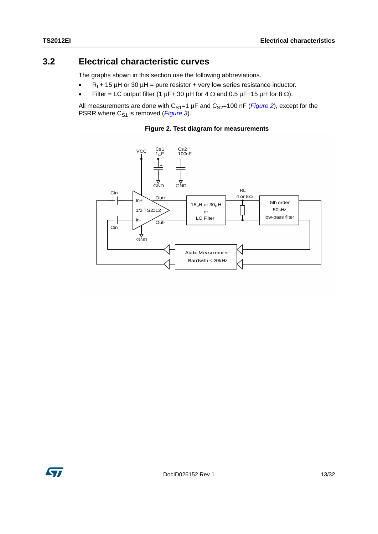### <span id="page-12-0"></span>**3.2 Electrical characteristic curves**

The graphs shown in this section use the following abbreviations.

- $R_L$ + 15 µH or 30 µH = pure resistor + very low series resistance inductor.
- Filter = LC output filter (1  $\mu$ F+ 30  $\mu$ H for 4  $\Omega$  and 0.5  $\mu$ F+15  $\mu$ H for 8  $\Omega$ ).

All measurements are done with  $C_{S1}=1 \mu F$  and  $C_{S2}=100 \text{ nF}$  (*[Figure 2](#page-12-1)*), except for the PSRR where C<sub>S1</sub> is removed (*[Figure 3](#page-13-0)*).

<span id="page-12-1"></span>

**Figure 2. Test diagram for measurements**

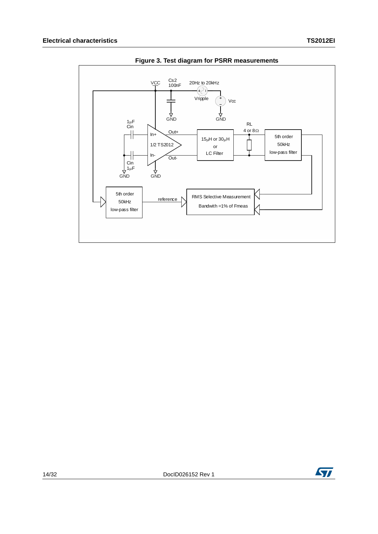<span id="page-13-0"></span>



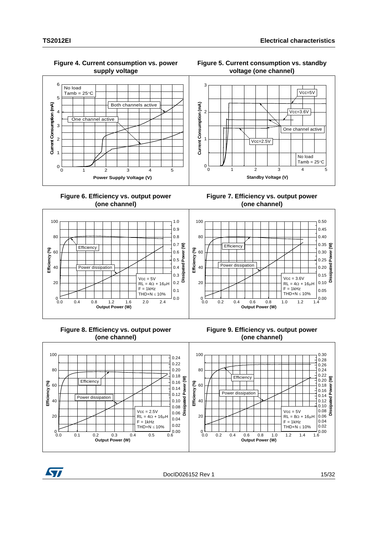#### **Figure 4. Current consumption vs. power supply voltage**



**Figure 6. Efficiency vs. output power (one channel)**



### **Figure 8. Efficiency vs. output power (one channel)**

### **Figure 9. Efficiency vs. output power (one channel)**





DocID026152 Rev 1 15/32

#### **Figure 5. Current consumption vs. standby voltage (one channel)**



**Figure 7. Efficiency vs. output power (one channel)**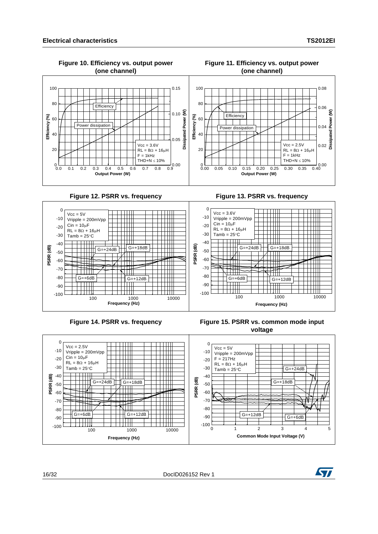

#### **Figure 11. Efficiency vs. output power (one channel)**

**Figure 12. PSRR vs. frequency Figure 13. PSRR vs. frequency**

**Figure 10. Efficiency vs. output power**





Figure 15. PSRR vs. common mode input **voltage**



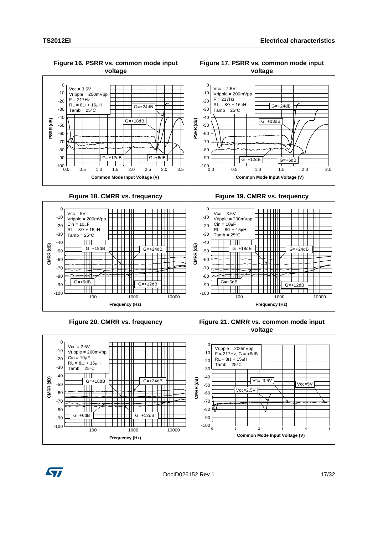

#### **Figure 16. PSRR vs. common mode input voltage**

#### **Figure 17. PSRR vs. common mode input voltage**









**Figure 20. CMRR vs. frequency Figure 21. CMRR vs. common mode input voltage**



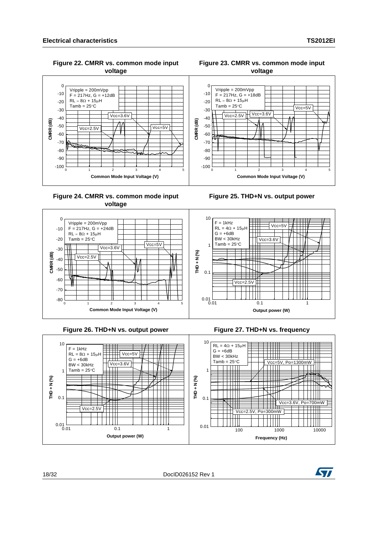Vripple = 200mVpp  $F = 217$ Hz,  $G = +12$ dB  $RL = 8\Omega + 15\mu H$ Tamb =  $25^{\circ}$ C

 $\overline{\text{Vcc}=2.5\text{V}}$ 

≍ չ

-90 -80 -70 -60 -50 -40  $-30$ -20 -10 0

**CMRR (dB)**

 $CMRR$  (dB)

 $Vcc=3.6V$ 





**Figure 25. THD+N vs. output power**

**Figure 24. CMRR vs. common mode input voltage**

**Common Mode Input Voltage (V)**



 $\sqrt{\text{Vcc}=5V}$ 





TШ

Ш



**voltage**

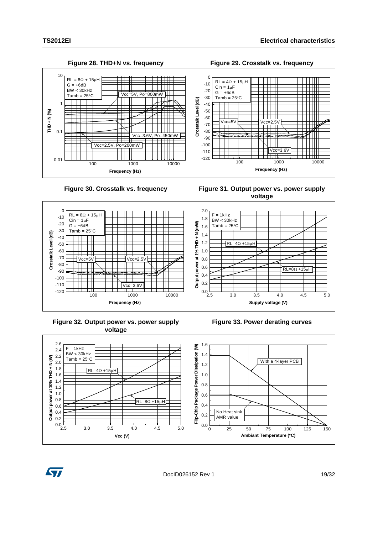

Figure 30. Crosstalk vs. frequency Figure 31. Output power vs. power supply **voltage**



**Figure 32. Output power vs. power supply voltage**

**Figure 33. Power derating curves**





DocID026152 Rev 1 19/32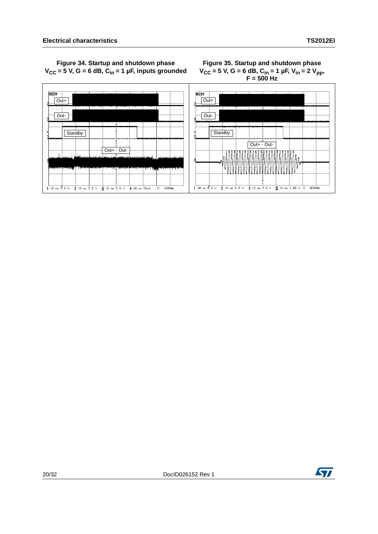### **Figure 34. Startup and shutdown phase**   $V_{CC}$  = 5 V, G = 6 dB, C<sub>in</sub> = 1 µF, inputs grounded

#### **Figure 35. Startup and shutdown phase**   $V_{CC}$  = 5 V, G = 6 dB, C<sub>in</sub> = 1 µF, V<sub>in</sub> = 2 V<sub>pp</sub>, **F = 500 Hz**



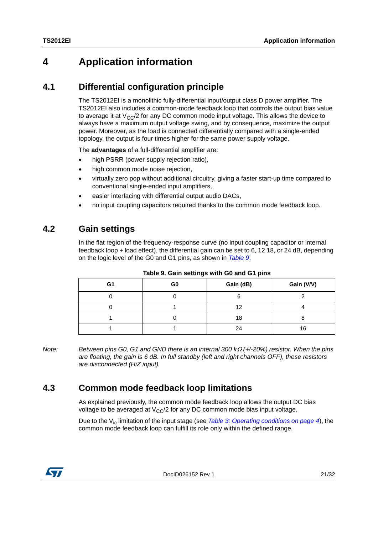## <span id="page-20-0"></span>**4 Application information**

### <span id="page-20-1"></span>**4.1 Differential configuration principle**

The TS2012EI is a monolithic fully-differential input/output class D power amplifier. The TS2012EI also includes a common-mode feedback loop that controls the output bias value to average it at  $V_{CC}/2$  for any DC common mode input voltage. This allows the device to always have a maximum output voltage swing, and by consequence, maximize the output power. Moreover, as the load is connected differentially compared with a single-ended topology, the output is four times higher for the same power supply voltage.

The **advantages** of a full-differential amplifier are:

- high PSRR (power supply rejection ratio),
- high common mode noise rejection,
- virtually zero pop without additional circuitry, giving a faster start-up time compared to conventional single-ended input amplifiers,
- easier interfacing with differential output audio DACs,
- no input coupling capacitors required thanks to the common mode feedback loop.

### <span id="page-20-2"></span>**4.2 Gain settings**

In the flat region of the frequency-response curve (no input coupling capacitor or internal feedback loop + load effect), the differential gain can be set to 6, 12 18, or 24 dB, depending on the logic level of the G0 and G1 pins, as shown in *[Table 9](#page-20-4)*.

<span id="page-20-4"></span>

|    |                | rapio or Sam comingo with Solaria St. pino |            |
|----|----------------|--------------------------------------------|------------|
| G1 | G <sub>0</sub> | Gain (dB)                                  | Gain (V/V) |
|    |                |                                            |            |
|    |                | 12                                         |            |
|    |                | 18                                         |            |
|    |                | 24                                         | 16         |

**Table 9. Gain settings with G0 and G1 pins**

*Note:* Between pins G0, G1 and GND there is an internal 300 k $\Omega$  (+/-20%) resistor. When the pins *are floating, the gain is 6 dB. In full standby (left and right channels OFF), these resistors are disconnected (HiZ input).*

## <span id="page-20-3"></span>**4.3 Common mode feedback loop limitations**

As explained previously, the common mode feedback loop allows the output DC bias voltage to be averaged at  $V_{\rm CC}/2$  for any DC common mode bias input voltage.

Due to the Vic limitation of the input stage (see *[Table 3: Operating conditions on page 4](#page-3-0)*), the common mode feedback loop can fulfill its role only within the defined range.

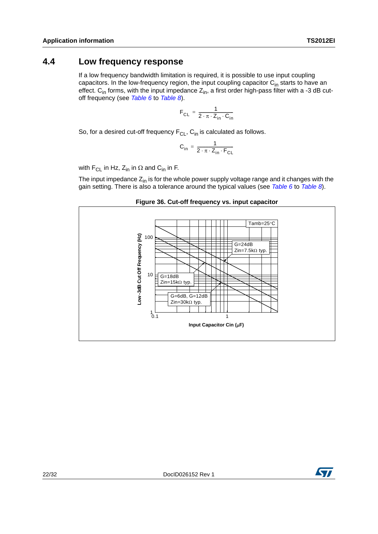<span id="page-21-0"></span>If a low frequency bandwidth limitation is required, it is possible to use input coupling capacitors. In the low-frequency region, the input coupling capacitor  $C_{in}$  starts to have an effect.  $C_{in}$  forms, with the input impedance  $Z_{in}$ , a first order high-pass filter with a -3 dB cutoff frequency (see *[Table 6](#page-6-2)* to *[Table 8](#page-10-0)*).

$$
F_{CL} = \frac{1}{2 \cdot \pi \cdot Z_{in} \cdot C_{in}}
$$

So, for a desired cut-off frequency  $F_{CL}$ ,  $C_{in}$  is calculated as follows.

$$
C_{in} = \frac{1}{2 \cdot \pi \cdot Z_{in} \cdot F_{CL}}
$$

with F<sub>CL</sub> in Hz,  $Z_{in}$  in  $\Omega$  and  $C_{in}$  in F.

The input impedance  $Z_{in}$  is for the whole power supply voltage range and it changes with the gain setting. There is also a tolerance around the typical values (see *[Table 6](#page-6-2)* to *[Table 8](#page-10-0)*).



**Figure 36. Cut-off frequency vs. input capacitor**

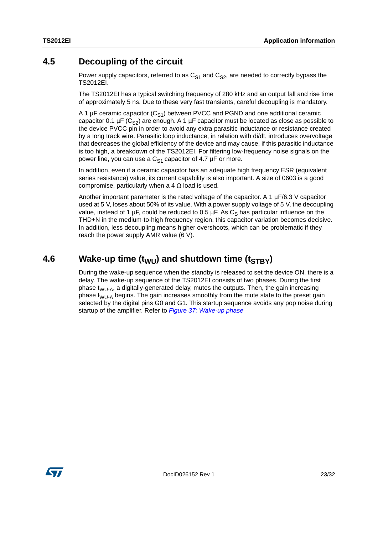### <span id="page-22-0"></span>**4.5 Decoupling of the circuit**

Power supply capacitors, referred to as  $C_{S1}$  and  $C_{S2}$ , are needed to correctly bypass the TS2012EI.

The TS2012EI has a typical switching frequency of 280 kHz and an output fall and rise time of approximately 5 ns. Due to these very fast transients, careful decoupling is mandatory.

A 1  $\mu$ F ceramic capacitor (C<sub>S1</sub>) between PVCC and PGND and one additional ceramic capacitor 0.1  $\mu$ F (C<sub>S2</sub>) are enough. A 1  $\mu$ F capacitor must be located as close as possible to the device PVCC pin in order to avoid any extra parasitic inductance or resistance created by a long track wire. Parasitic loop inductance, in relation with di/dt, introduces overvoltage that decreases the global efficiency of the device and may cause, if this parasitic inductance is too high, a breakdown of the TS2012EI. For filtering low-frequency noise signals on the power line, you can use a  $C_{S1}$  capacitor of 4.7  $\mu$ F or more.

In addition, even if a ceramic capacitor has an adequate high frequency ESR (equivalent series resistance) value, its current capability is also important. A size of 0603 is a good compromise, particularly when a 4  $\Omega$  load is used.

Another important parameter is the rated voltage of the capacitor. A 1  $\mu$ F/6.3 V capacitor used at 5 V, loses about 50% of its value. With a power supply voltage of 5 V, the decoupling value, instead of 1 µF, could be reduced to 0.5 µF. As  $C<sub>S</sub>$  has particular influence on the THD+N in the medium-to-high frequency region, this capacitor variation becomes decisive. In addition, less decoupling means higher overshoots, which can be problematic if they reach the power supply AMR value (6 V).

## <span id="page-22-1"></span>**4.6** Wake-up time (t<sub>WU</sub>) and shutdown time (t<sub>STBY</sub>)

During the wake-up sequence when the standby is released to set the device ON, there is a delay. The wake-up sequence of the TS2012EI consists of two phases. During the first phase  $t_{WU-A}$ , a digitally-generated delay, mutes the outputs. Then, the gain increasing phase  $t_{WU-A}$  begins. The gain increases smoothly from the mute state to the preset gain selected by the digital pins G0 and G1. This startup sequence avoids any pop noise during startup of the amplifier. Refer to *[Figure 37: Wake-up phase](#page-23-0)*

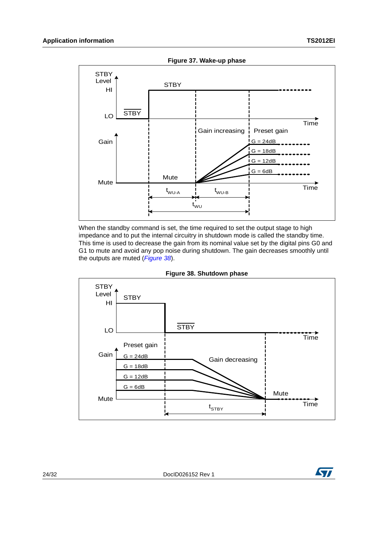<span id="page-23-0"></span>

When the standby command is set, the time required to set the output stage to high impedance and to put the internal circuitry in shutdown mode is called the standby time. This time is used to decrease the gain from its nominal value set by the digital pins G0 and G1 to mute and avoid any pop noise during shutdown. The gain decreases smoothly until the outputs are muted (*[Figure 38](#page-23-1)*).

<span id="page-23-1"></span>

**Figure 38. Shutdown phase**

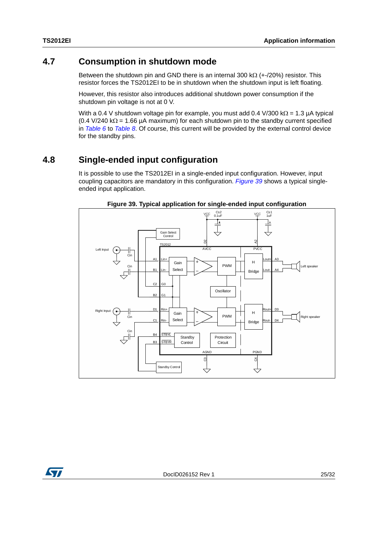### <span id="page-24-0"></span>**4.7 Consumption in shutdown mode**

Between the shutdown pin and GND there is an internal 300 k $\Omega$  (+-/20%) resistor. This resistor forces the TS2012EI to be in shutdown when the shutdown input is left floating.

However, this resistor also introduces additional shutdown power consumption if the shutdown pin voltage is not at 0 V.

With a 0.4 V shutdown voltage pin for example, you must add 0.4 V/300 k $\Omega$  = 1.3 µA typical (0.4 V/240 k $\Omega$  = 1.66 µA maximum) for each shutdown pin to the standby current specified in *[Table 6](#page-6-2)* to *[Table 8](#page-10-0)*. Of course, this current will be provided by the external control device for the standby pins.

### <span id="page-24-1"></span>**4.8 Single-ended input configuration**

It is possible to use the TS2012EI in a single-ended input configuration. However, input coupling capacitors are mandatory in this configuration. *[Figure 39](#page-24-2)* shows a typical singleended input application.

<span id="page-24-2"></span>

**Figure 39. Typical application for single-ended input configuration**

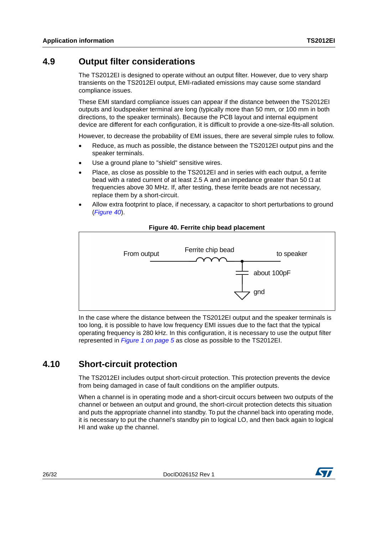### <span id="page-25-0"></span>**4.9 Output filter considerations**

The TS2012EI is designed to operate without an output filter. However, due to very sharp transients on the TS2012EI output, EMI-radiated emissions may cause some standard compliance issues.

These EMI standard compliance issues can appear if the distance between the TS2012EI outputs and loudspeaker terminal are long (typically more than 50 mm, or 100 mm in both directions, to the speaker terminals). Because the PCB layout and internal equipment device are different for each configuration, it is difficult to provide a one-size-fits-all solution.

However, to decrease the probability of EMI issues, there are several simple rules to follow.

- Reduce, as much as possible, the distance between the TS2012EI output pins and the speaker terminals.
- Use a ground plane to "shield" sensitive wires.
- Place, as close as possible to the TS2012EI and in series with each output, a ferrite bead with a rated current of at least 2.5 A and an impedance greater than 50  $\Omega$  at frequencies above 30 MHz. If, after testing, these ferrite beads are not necessary, replace them by a short-circuit.
- Allow extra footprint to place, if necessary, a capacitor to short perturbations to ground (*[Figure 40](#page-25-2)*).

<span id="page-25-2"></span>

#### **Figure 40. Ferrite chip bead placement**

In the case where the distance between the TS2012EI output and the speaker terminals is too long, it is possible to have low frequency EMI issues due to the fact that the typical operating frequency is 280 kHz. In this configuration, it is necessary to use the output filter represented in *[Figure 1 on page 5](#page-4-1)* as close as possible to the TS2012EI.

### <span id="page-25-1"></span>**4.10 Short-circuit protection**

The TS2012EI includes output short-circuit protection. This protection prevents the device from being damaged in case of fault conditions on the amplifier outputs.

When a channel is in operating mode and a short-circuit occurs between two outputs of the channel or between an output and ground, the short-circuit protection detects this situation and puts the appropriate channel into standby. To put the channel back into operating mode, it is necessary to put the channel's standby pin to logical LO, and then back again to logical HI and wake up the channel.

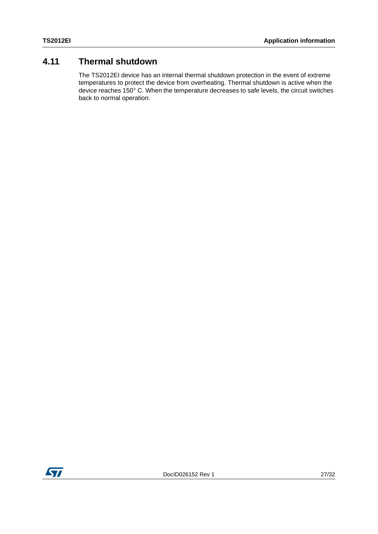### <span id="page-26-0"></span>**4.11 Thermal shutdown**

The TS2012EI device has an internal thermal shutdown protection in the event of extreme temperatures to protect the device from overheating. Thermal shutdown is active when the device reaches 150° C. When the temperature decreases to safe levels, the circuit switches back to normal operation.

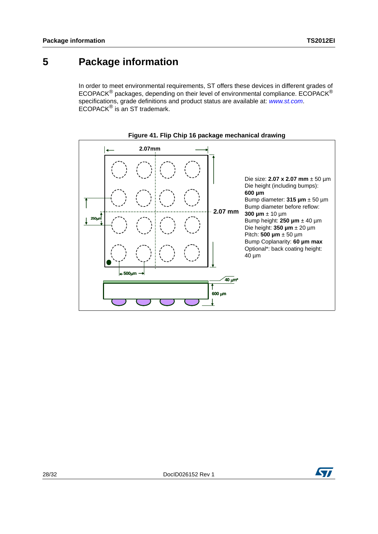## <span id="page-27-0"></span>**5 Package information**

In order to meet environmental requirements, ST offers these devices in different grades of ECOPACK® packages, depending on their level of environmental compliance. ECOPACK® specifications, grade definitions and product status are available at: *[www.st.com](http://www.st.com)*. ECOPACK® is an ST trademark.





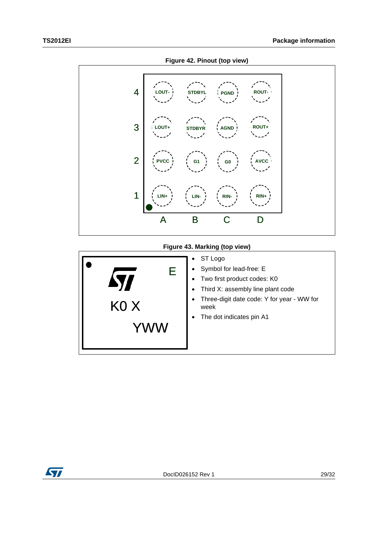

### **Figure 43. Marking (top view)**

|  | E<br>KO X | ST Logo<br>٠<br>Symbol for lead-free: E<br>٠<br>Two first product codes: K0<br>٠<br>Third X: assembly line plant code<br>$\bullet$<br>Three-digit date code: Y for year - WW for<br>٠<br>week<br>The dot indicates pin A1<br>٠ |
|--|-----------|--------------------------------------------------------------------------------------------------------------------------------------------------------------------------------------------------------------------------------|
|--|-----------|--------------------------------------------------------------------------------------------------------------------------------------------------------------------------------------------------------------------------------|

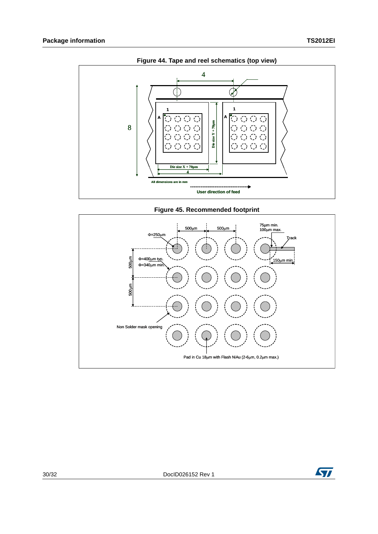

**Figure 45. Recommended footprint**



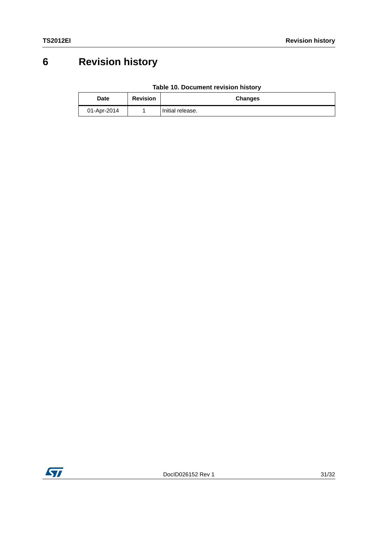# <span id="page-30-0"></span>**6 Revision history**

| Table 10. Document revision history |  |  |  |  |
|-------------------------------------|--|--|--|--|
|-------------------------------------|--|--|--|--|

| Date        | <b>Revision</b> | <b>Changes</b>   |
|-------------|-----------------|------------------|
| 01-Apr-2014 |                 | Initial release. |